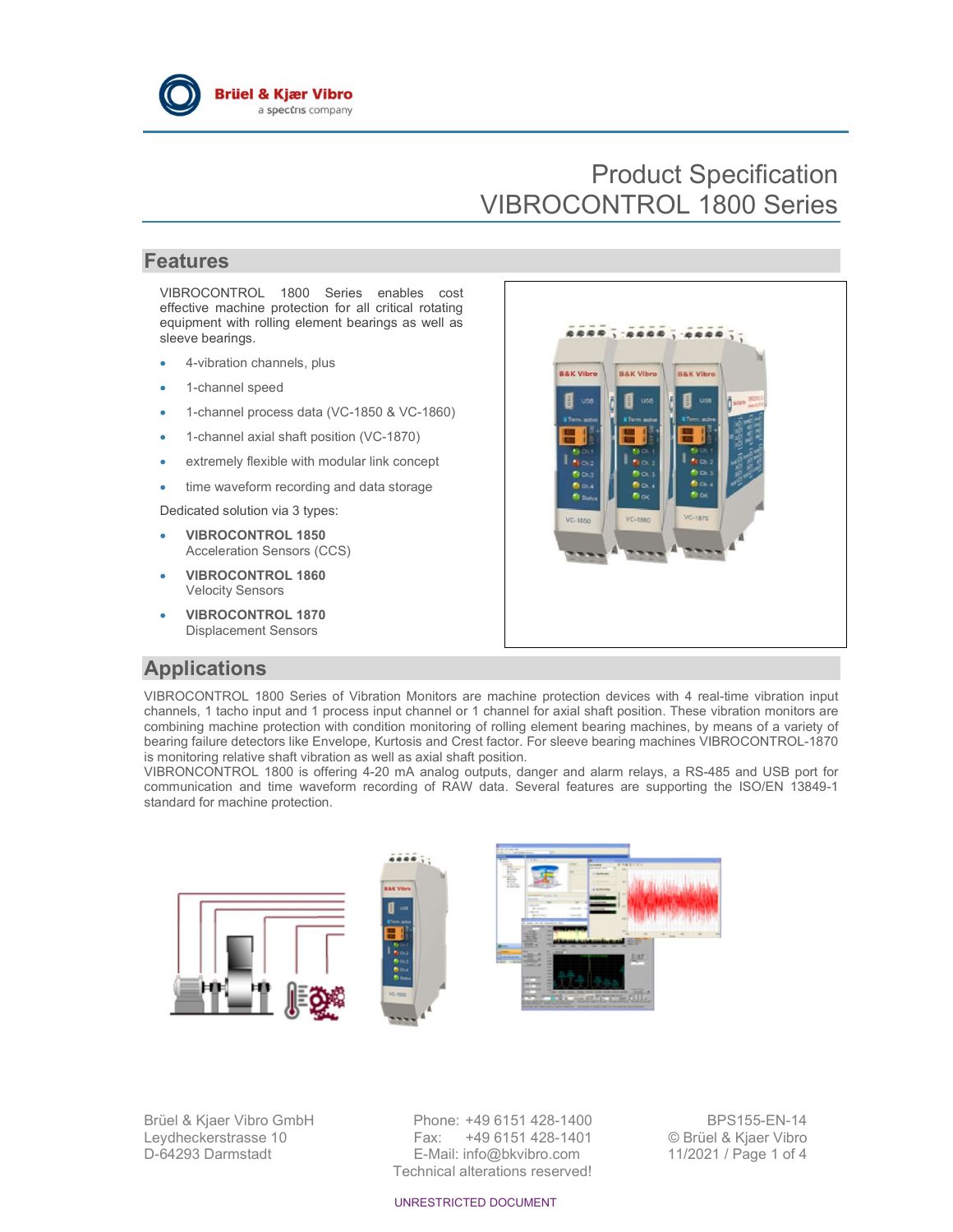

# Product Specification VIBROCONTROL 1800 Series

### Features

VIBROCONTROL 1800 Series enables cost effective machine protection for all critical rotating equipment with rolling element bearings as well as sleeve bearings.

- 4-vibration channels, plus
- 1-channel speed
- 1-channel process data (VC-1850 & VC-1860)
- 1-channel axial shaft position (VC-1870)
- extremely flexible with modular link concept
- time waveform recording and data storage

Dedicated solution via 3 types:

- VIBROCONTROL 1850 Acceleration Sensors (CCS)
- VIBROCONTROL 1860 Velocity Sensors
- VIBROCONTROL 1870 Displacement Sensors



### Applications

VIBROCONTROL 1800 Series of Vibration Monitors are machine protection devices with 4 real-time vibration input channels, 1 tacho input and 1 process input channel or 1 channel for axial shaft position. These vibration monitors are combining machine protection with condition monitoring of rolling element bearing machines, by means of a variety of bearing failure detectors like Envelope, Kurtosis and Crest factor. For sleeve bearing machines VIBROCONTROL-1870 is monitoring relative shaft vibration as well as axial shaft position.

VIBRONCONTROL 1800 is offering 4-20 mA analog outputs, danger and alarm relays, a RS-485 and USB port for communication and time waveform recording of RAW data. Several features are supporting the ISO/EN 13849-1 standard for machine protection.



Brüel & Kjaer Vibro GmbH Phone: +49 6151 428-1400 BPS155-EN-14 Leydheckerstrasse 10 Fax: +49 6151 428-1401 © Brüel & Kjaer Vibro D-64293 Darmstadt E-Mail: info@bkvibro.com 11/2021 / Page 1 of 4 Technical alterations reserved!

UNRESTRICTED DOCUMENT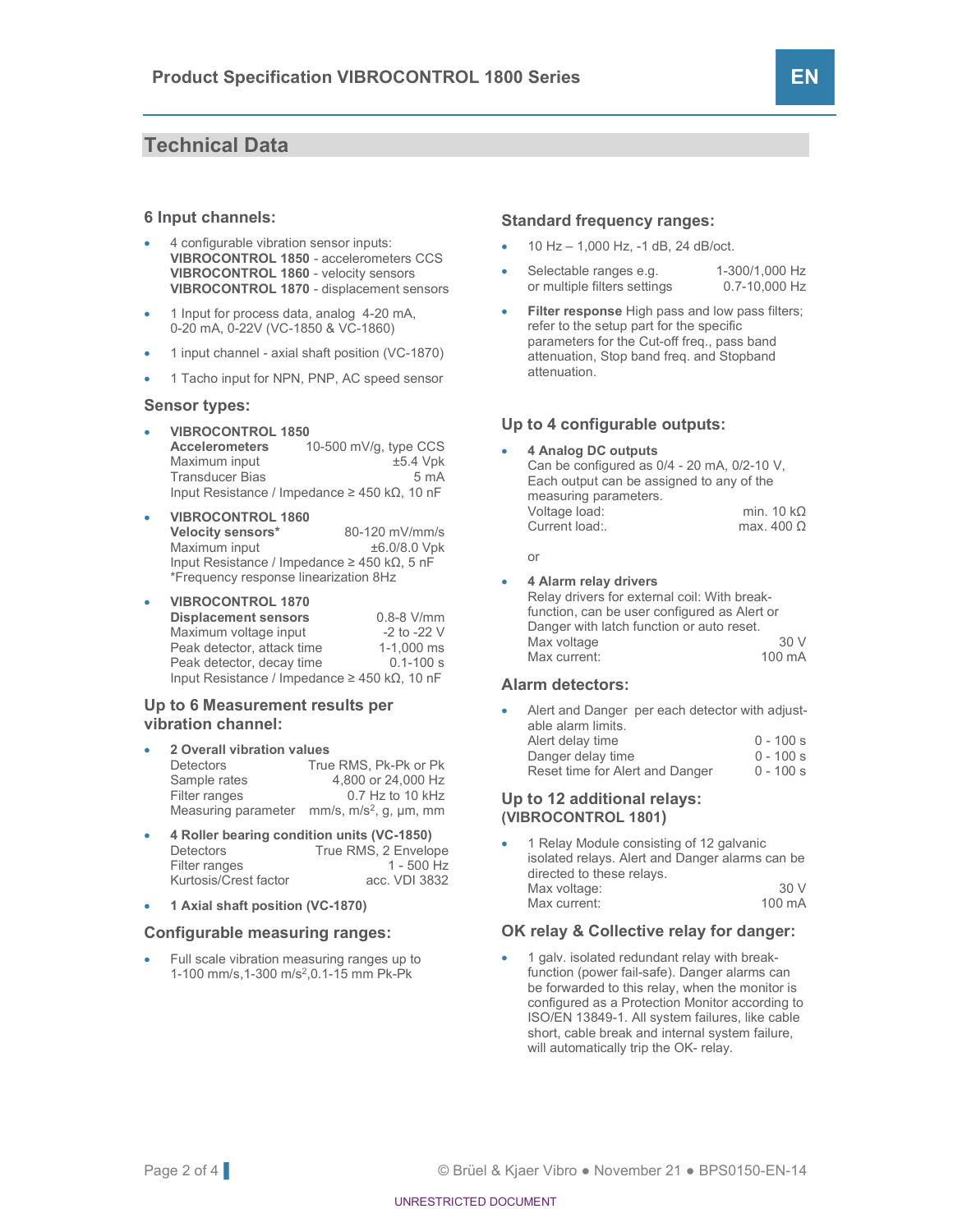### Technical Data

#### 6 Input channels:

- 4 configurable vibration sensor inputs: VIBROCONTROL 1850 - accelerometers CCS VIBROCONTROL 1860 - velocity sensors VIBROCONTROL 1870 - displacement sensors
- 1 Input for process data, analog 4-20 mA, 0-20 mA, 0-22V (VC-1850 & VC-1860)
- 1 input channel axial shaft position (VC-1870)
- 1 Tacho input for NPN, PNP, AC speed sensor

#### Sensor types:

 VIBROCONTROL 1850 **Accelerometers** 10-500 mV/g, type CCS<br>Maximum input to the set of the set of the set of the set of the set of the set of the set of the set of the set of the set of the set of the set of the set of the set of the set of t Maximum input  $\pm$ 5.4 Vpk Transducer Bias 6 mA Input Resistance / Impedance ≥ 450 kΩ, 10 nF

#### VIBROCONTROL 1860

**Velocity sensors\*** 80-120 mV/mm/s<br>Maximum input  $\pm 6.0/8.0$  Vpk Maximum input Input Resistance / Impedance ≥ 450 kΩ, 5 nF \*Frequency response linearization 8Hz

#### VIBROCONTROL 1870

| <b>Displacement sensors</b>                                | $0.8-8$ V/mm    |
|------------------------------------------------------------|-----------------|
| Maximum voltage input                                      | $-2$ to $-22$ V |
| Peak detector, attack time                                 | 1-1.000 ms      |
| Peak detector, decay time                                  | $0.1 - 100 s$   |
| Input Resistance / Impedance $\geq$ 450 k $\Omega$ , 10 nF |                 |

#### Up to 6 Measurement results per vibration channel:

- 2 Overall vibration values Detectors True RMS, Pk-Pk or Pk Sample rates 4,800 or 24,000 Hz Filter ranges 0.7 Hz to 10 kHz Measuring parameter mm/s, m/s<sup>2</sup>, g, μm, mm
- 4 Roller bearing condition units (VC-1850) Detectors True RMS, 2 Envelope Filter ranges 1 - 500 Hz<br>Kurtosis/Crest factor 1 - 500 Hz Kurtosis/Crest factor
- 1 Axial shaft position (VC-1870)

#### Configurable measuring ranges:

 Full scale vibration measuring ranges up to 1-100 mm/s,1-300 m/s<sup>2</sup> ,0.1-15 mm Pk-Pk

#### Standard frequency ranges:

- 10 Hz 1,000 Hz, -1 dB, 24 dB/oct.
- Selectable ranges e.g. 1-300/1,000 Hz or multiple filters settings 0.7-10,000 Hz
- Filter response High pass and low pass filters; refer to the setup part for the specific parameters for the Cut-off freq., pass band attenuation, Stop band freq. and Stopband attenuation.

#### Up to 4 configurable outputs:

 4 Analog DC outputs Can be configured as 0/4 - 20 mA, 0/2-10 V, Each output can be assigned to any of the measuring parameters. Voltage load: min. 10 kΩ<br>Current load: max. 400 Ω Current load:.

#### or

4 Alarm relay drivers

Relay drivers for external coil: With breakfunction, can be user configured as Alert or Danger with latch function or auto reset. Max voltage 30 V<br>Max current: 100 mA Max current:

#### Alarm detectors:

- Alert and Danger per each detector with adjustable alarm limits. Alert delay time  $0 - 100$  s<br>Danger delay time  $0 - 100$  s
	- Danger delay time 0 100 s<br>Reset time for Alert and Danger 0 100 s Reset time for Alert and Danger

#### Up to 12 additional relays: (VIBROCONTROL 1801)

 1 Relay Module consisting of 12 galvanic isolated relays. Alert and Danger alarms can be directed to these relays. Max voltage: 30 V Max current: 100 mA

#### OK relay & Collective relay for danger:

 1 galv. isolated redundant relay with breakfunction (power fail-safe). Danger alarms can be forwarded to this relay, when the monitor is configured as a Protection Monitor according to ISO/EN 13849-1. All system failures, like cable short, cable break and internal system failure, will automatically trip the OK- relay.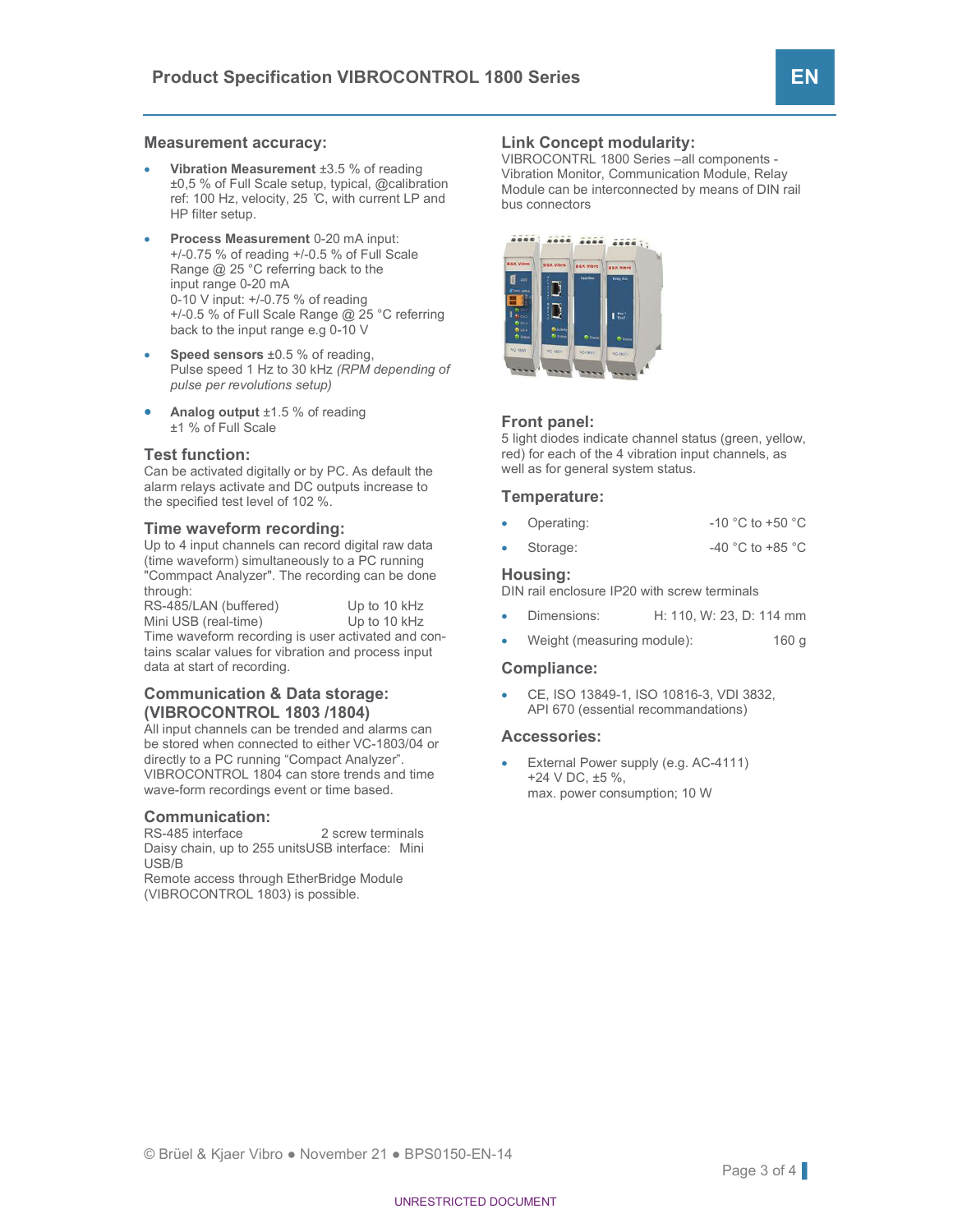#### Measurement accuracy:

- Vibration Measurement ±3.5 % of reading ±0,5 % of Full Scale setup, typical, @calibration ref: 100 Hz, velocity, 25 ̊C, with current LP and HP filter setup.
- Process Measurement 0-20 mA input: +/-0.75 % of reading +/-0.5 % of Full Scale Range @ 25 °C referring back to the input range 0-20 mA 0-10 V input: +/-0.75 % of reading +/-0.5 % of Full Scale Range @ 25 °C referring back to the input range e.g 0-10 V
- Speed sensors  $\pm 0.5$  % of reading, Pulse speed 1 Hz to 30 kHz (RPM depending of pulse per revolutions setup)
- **Analog output**  $\pm 1.5$  % of reading ±1 % of Full Scale

#### Test function:

Can be activated digitally or by PC. As default the alarm relays activate and DC outputs increase to the specified test level of 102 %.

#### Time waveform recording:

Up to 4 input channels can record digital raw data (time waveform) simultaneously to a PC running "Commpact Analyzer". The recording can be done through:

RS-485/LAN (buffered) Up to 10 kHz Mini USB (real-time) Up to 10 kHz Time waveform recording is user activated and contains scalar values for vibration and process input data at start of recording.

#### Communication & Data storage: (VIBROCONTROL 1803 /1804)

All input channels can be trended and alarms can be stored when connected to either VC-1803/04 or directly to a PC running "Compact Analyzer". VIBROCONTROL 1804 can store trends and time wave-form recordings event or time based.

#### Communication:

RS-485 interface 2 screw terminals Daisy chain, up to 255 unitsUSB interface: Mini USB/B

Remote access through EtherBridge Module (VIBROCONTROL 1803) is possible.

#### Link Concept modularity:

VIBROCONTRL 1800 Series –all components - Vibration Monitor, Communication Module, Relay Module can be interconnected by means of DIN rail bus connectors



#### Front panel:

5 light diodes indicate channel status (green, yellow, red) for each of the 4 vibration input channels, as well as for general system status.

#### Temperature:

- Operating: -10 °C to +50 °C
- Storage: -40 °C to +85 °C

#### Housing:

DIN rail enclosure IP20 with screw terminals

- Dimensions: H: 110, W: 23, D: 114 mm
- Weight (measuring module): 160 g

#### Compliance:

 CE, ISO 13849-1, ISO 10816-3, VDI 3832, API 670 (essential recommandations)

#### Accessories:

 External Power supply (e.g. AC-4111) +24 V DC, ±5 %, max. power consumption; 10 W